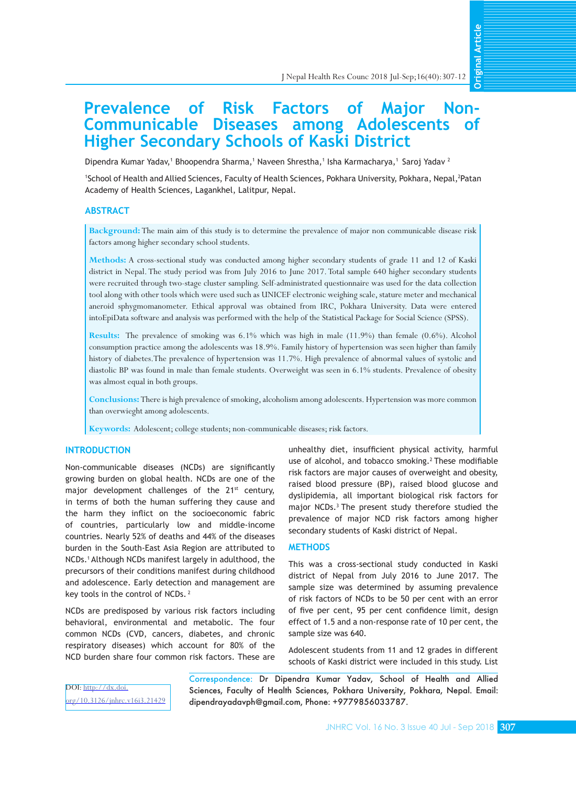**Original Article Original Article**

Dipendra Kumar Yadav, 1 Bhoopendra Sharma, 1 Naveen Shrestha, 1 Isha Karmacharya, 1 Saroj Yadav 2

'School of Health and Allied Sciences, Faculty of Health Sciences, Pokhara University, Pokhara, Nepal, <sup>2</sup>Patan Academy of Health Sciences, Lagankhel, Lalitpur, Nepal.

## **ABSTRACT**

**Background:** The main aim of this study is to determine the prevalence of major non communicable disease risk factors among higher secondary school students.

**Methods:** A cross-sectional study was conducted among higher secondary students of grade 11 and 12 of Kaski district in Nepal. The study period was from July 2016 to June 2017. Total sample 640 higher secondary students were recruited through two-stage cluster sampling. Self-administrated questionnaire was used for the data collection tool along with other tools which were used such as UNICEF electronic weighing scale, stature meter and mechanical aneroid sphygmomanometer. Ethical approval was obtained from IRC, Pokhara University. Data were entered intoEpiData software and analysis was performed with the help of the Statistical Package for Social Science (SPSS).

**Results:** The prevalence of smoking was 6.1% which was high in male (11.9%) than female (0.6%). Alcohol consumption practice among the adolescents was 18.9%. Family history of hypertension was seen higher than family history of diabetes.The prevalence of hypertension was 11.7%. High prevalence of abnormal values of systolic and diastolic BP was found in male than female students. Overweight was seen in 6.1% students. Prevalence of obesity was almost equal in both groups.

**Conclusions:** There is high prevalence of smoking, alcoholism among adolescents. Hypertension was more common than overwieght among adolescents.

**Keywords:** Adolescent; college students; non-communicable diseases; risk factors.

### **INTRODUCTION**

Non-communicable diseases (NCDs) are significantly growing burden on global health. NCDs are one of the major development challenges of the 21<sup>st</sup> century, in terms of both the human suffering they cause and the harm they inflict on the socioeconomic fabric of countries, particularly low and middle-income countries. Nearly 52% of deaths and 44% of the diseases burden in the South-East Asia Region are attributed to NCDs.<sup>1</sup> Although NCDs manifest largely in adulthood, the precursors of their conditions manifest during childhood and adolescence. Early detection and management are key tools in the control of NCDs.<sup>2</sup>

NCDs are predisposed by various risk factors including behavioral, environmental and metabolic. The four common NCDs (CVD, cancers, diabetes, and chronic respiratory diseases) which account for 80% of the NCD burden share four common risk factors. These are unhealthy diet, insufficient physical activity, harmful use of alcohol, and tobacco smoking.<sup>2</sup> These modifiable risk factors are major causes of overweight and obesity, raised blood pressure (BP), raised blood glucose and dyslipidemia, all important biological risk factors for major NCDs.3 The present study therefore studied the prevalence of major NCD risk factors among higher secondary students of Kaski district of Nepal.

#### **METHODS**

This was a cross-sectional study conducted in Kaski district of Nepal from July 2016 to June 2017. The sample size was determined by assuming prevalence of risk factors of NCDs to be 50 per cent with an error of five per cent, 95 per cent confidence limit, design effect of 1.5 and a non-response rate of 10 per cent, the sample size was 640.

Adolescent students from 11 and 12 grades in different schools of Kaski district were included in this study. List

DOI: [http://dx.doi.](http://dx.doi.org/10.3126/jnhrc.v16i3.21429) [org/10.3126/jnhrc.v16i3.21429](http://dx.doi.org/10.3126/jnhrc.v16i3.21429) Correspondence: Dr Dipendra Kumar Yadav, School of Health and Allied Sciences, Faculty of Health Sciences, Pokhara University, Pokhara, Nepal. Email: [dipendrayadavph@gmail.com](mailto:dipendrayadavph@gmail.com), Phone: +9779856033787.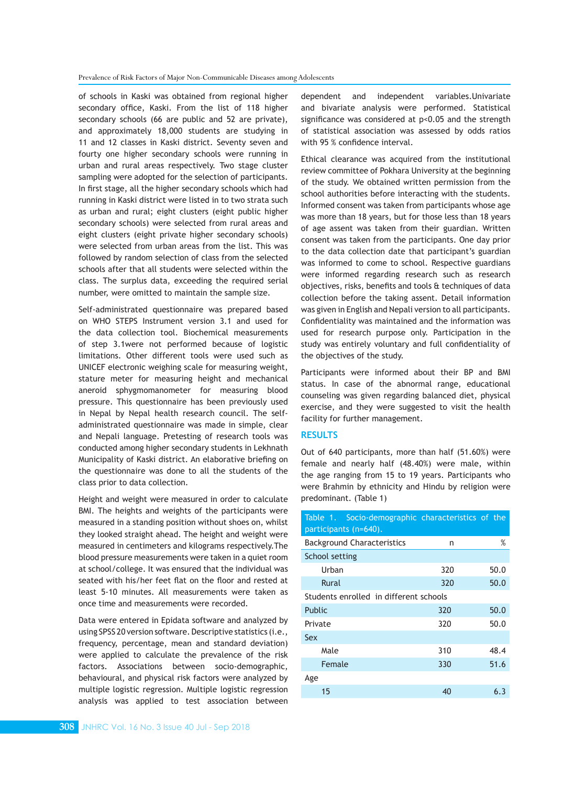of schools in Kaski was obtained from regional higher secondary office, Kaski. From the list of 118 higher secondary schools (66 are public and 52 are private), and approximately 18,000 students are studying in 11 and 12 classes in Kaski district. Seventy seven and fourty one higher secondary schools were running in urban and rural areas respectively. Two stage cluster sampling were adopted for the selection of participants. In first stage, all the higher secondary schools which had running in Kaski district were listed in to two strata such as urban and rural; eight clusters (eight public higher secondary schools) were selected from rural areas and eight clusters (eight private higher secondary schools) were selected from urban areas from the list. This was followed by random selection of class from the selected schools after that all students were selected within the class. The surplus data, exceeding the required serial number, were omitted to maintain the sample size.

Self-administrated questionnaire was prepared based on WHO STEPS Instrument version 3.1 and used for the data collection tool. Biochemical measurements of step 3.1were not performed because of logistic limitations. Other different tools were used such as UNICEF electronic weighing scale for measuring weight, stature meter for measuring height and mechanical aneroid sphygmomanometer for measuring blood pressure. This questionnaire has been previously used in Nepal by Nepal health research council. The selfadministrated questionnaire was made in simple, clear and Nepali language. Pretesting of research tools was conducted among higher secondary students in Lekhnath Municipality of Kaski district. An elaborative briefing on the questionnaire was done to all the students of the class prior to data collection.

Height and weight were measured in order to calculate BMI. The heights and weights of the participants were measured in a standing position without shoes on, whilst they looked straight ahead. The height and weight were measured in centimeters and kilograms respectively.The blood pressure measurements were taken in a quiet room at school/college. It was ensured that the individual was seated with his/her feet flat on the floor and rested at least 5-10 minutes. All measurements were taken as once time and measurements were recorded.

Data were entered in Epidata software and analyzed by using SPSS 20 version software. Descriptive statistics (i.e., frequency, percentage, mean and standard deviation) were applied to calculate the prevalence of the risk factors. Associations between socio-demographic, behavioural, and physical risk factors were analyzed by multiple logistic regression. Multiple logistic regression analysis was applied to test association between

dependent and independent variables.Univariate and bivariate analysis were performed. Statistical significance was considered at p<0.05 and the strength of statistical association was assessed by odds ratios with 95 % confidence interval.

Ethical clearance was acquired from the institutional review committee of Pokhara University at the beginning of the study. We obtained written permission from the school authorities before interacting with the students. Informed consent was taken from participants whose age was more than 18 years, but for those less than 18 years of age assent was taken from their guardian. Written consent was taken from the participants. One day prior to the data collection date that participant's guardian was informed to come to school. Respective guardians were informed regarding research such as research objectives, risks, benefits and tools & techniques of data collection before the taking assent. Detail information was given in English and Nepali version to all participants. Confidentiality was maintained and the information was used for research purpose only. Participation in the study was entirely voluntary and full confidentiality of the objectives of the study.

Participants were informed about their BP and BMI status. In case of the abnormal range, educational counseling was given regarding balanced diet, physical exercise, and they were suggested to visit the health facility for further management.

## **RESULTS**

Out of 640 participants, more than half (51.60%) were female and nearly half (48.40%) were male, within the age ranging from 15 to 19 years. Participants who were Brahmin by ethnicity and Hindu by religion were predominant. (Table 1)

| Table 1. Socio-demographic characteristics of the |     |      |  |  |  |
|---------------------------------------------------|-----|------|--|--|--|
| participants (n=640).                             |     |      |  |  |  |
| <b>Background Characteristics</b>                 | n   | $\%$ |  |  |  |
| School setting                                    |     |      |  |  |  |
| Urban                                             | 320 | 50.0 |  |  |  |
| Rural                                             | 320 | 50.0 |  |  |  |
| Students enrolled in different schools            |     |      |  |  |  |
| <b>Public</b>                                     | 320 | 50.0 |  |  |  |
| Private                                           | 320 | 50.0 |  |  |  |
| Sex                                               |     |      |  |  |  |
| Male                                              | 310 | 48.4 |  |  |  |
| Female                                            | 330 | 51.6 |  |  |  |
| Age                                               |     |      |  |  |  |
| 15                                                | 40  | 6.3  |  |  |  |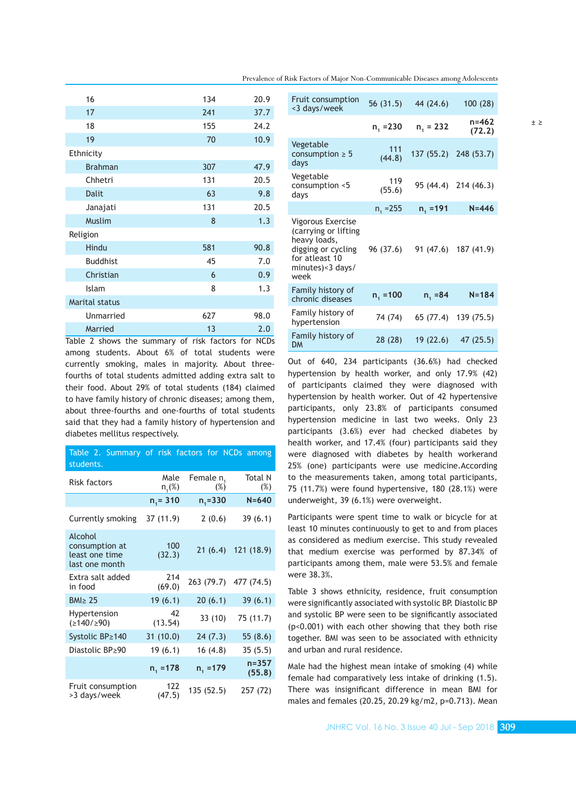| 16                    | 134 | 20.9 |
|-----------------------|-----|------|
| 17                    | 241 | 37.7 |
| 18                    | 155 | 24.2 |
| 19                    | 70  | 10.9 |
| Ethnicity             |     |      |
| <b>Brahman</b>        | 307 | 47.9 |
| Chhetri               | 131 | 20.5 |
| <b>Dalit</b>          | 63  | 9.8  |
| Janajati              | 131 | 20.5 |
| <b>Muslim</b>         | 8   | 1.3  |
| Religion              |     |      |
| Hindu                 | 581 | 90.8 |
| <b>Buddhist</b>       | 45  | 7.0  |
| Christian             | 6   | 0.9  |
| Islam                 | 8   | 1.3  |
| <b>Marital status</b> |     |      |
| Unmarried             | 627 | 98.0 |
| Married               | 13  | 2.0  |

Table 2 shows the summary of risk factors for NCDs among students. About 6% of total students were currently smoking, males in majority. About threefourths of total students admitted adding extra salt to their food. About 29% of total students (184) claimed to have family history of chronic diseases; among them, about three-fourths and one-fourths of total students said that they had a family history of hypertension and diabetes mellitus respectively.

| Table 2. Summary of risk factors for NCDs among<br>students.  |                     |                                 |                     |
|---------------------------------------------------------------|---------------------|---------------------------------|---------------------|
| <b>Risk factors</b>                                           | Male<br>$n_{1}$ (%) | Female n <sub>1</sub><br>$(\%)$ | Total N<br>$(\%)$   |
|                                                               | $n_{1} = 310$       | $n_{1} = 330$                   | $N = 640$           |
| Currently smoking                                             | 37 (11.9)           | 2(0.6)                          | 39(6.1)             |
| Alcohol<br>consumption at<br>least one time<br>last one month | 100<br>(32.3)       | 21(6.4)                         | 121 (18.9)          |
| Extra salt added<br>in food                                   | 214<br>(69.0)       | 263 (79.7)                      | 477 (74.5)          |
| $BM \geq 25$                                                  | 19(6.1)             | 20(6.1)                         | 39(6.1)             |
| Hypertension<br>(≥140/≥90)                                    | 42<br>(13.54)       | 33(10)                          | 75 (11.7)           |
| Systolic BP≥140                                               | 31 (10.0)           | 24(7.3)                         | 55(8.6)             |
| Diastolic BP≥90                                               | 19(6.1)             | 16(4.8)                         | 35(5.5)             |
|                                                               | $n_1 = 178$         | $n_1 = 179$                     | $n = 357$<br>(55.8) |
| Fruit consumption<br>>3 days/week                             | 122<br>(47.5)       | 135 (52.5)                      | 257 (72)            |

| <b>Fruit consumption</b><br><3 days/week                                                                                       | 56 (31.5)     | 44 (24.6)   | 100(28)              |
|--------------------------------------------------------------------------------------------------------------------------------|---------------|-------------|----------------------|
|                                                                                                                                | $n_{1} = 230$ | $n_1 = 232$ | n=462<br>(72.2)      |
| Vegetable<br>consumption $\geq 5$<br>days                                                                                      | 111<br>(44.8) | 137 (55.2)  | 248 (53.7)           |
| Vegetable<br>consumption <5<br>days                                                                                            | 119<br>(55.6) |             | 95 (44.4) 214 (46.3) |
|                                                                                                                                | $n_{1} = 255$ | $n_1 = 191$ | $N = 446$            |
| Vigorous Exercise<br>(carrying or lifting)<br>heavy loads,<br>digging or cycling<br>for atleast 10<br>minutes)<3 days/<br>week | 96 (37.6)     | 91 (47.6)   | 187 (41.9)           |
| Family history of<br>chronic diseases                                                                                          | $n_1 = 100$   | $n_1 = 84$  | $N = 184$            |
| Family history of<br>hypertension                                                                                              | 74 (74)       | 65 (77.4)   | 139 (75.5)           |
| Family history of<br>DM                                                                                                        | 28 (28)       | 19(22.6)    | 47 (25.5)            |

Out of 640, 234 participants (36.6%) had checked hypertension by health worker, and only 17.9% (42) of participants claimed they were diagnosed with hypertension by health worker. Out of 42 hypertensive participants, only 23.8% of participants consumed hypertension medicine in last two weeks. Only 23 participants (3.6%) ever had checked diabetes by health worker, and 17.4% (four) participants said they were diagnosed with diabetes by health workerand 25% (one) participants were use medicine.According to the measurements taken, among total participants, 75 (11.7%) were found hypertensive, 180 (28.1%) were underweight, 39 (6.1%) were overweight.

Participants were spent time to walk or bicycle for at least 10 minutes continuously to get to and from places as considered as medium exercise. This study revealed that medium exercise was performed by 87.34% of participants among them, male were 53.5% and female were 38.3%.

Table 3 shows ethnicity, residence, fruit consumption were significantly associated with systolic BP. Diastolic BP and systolic BP were seen to be significantly associated (p<0.001) with each other showing that they both rise together. BMI was seen to be associated with ethnicity and urban and rural residence.

Male had the highest mean intake of smoking (4) while female had comparatively less intake of drinking (1.5). There was insignificant difference in mean BMI for males and females (20.25, 20.29 kg/m2, p=0.713). Mean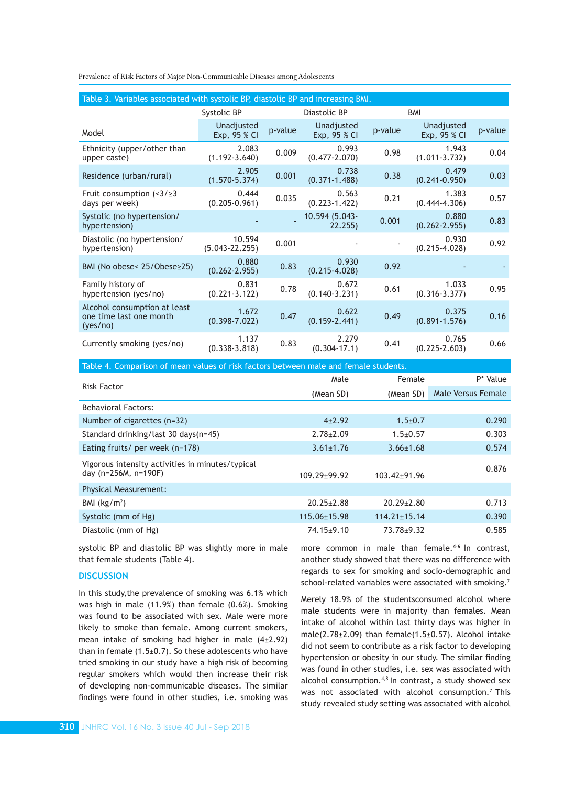Prevalence of Risk Factors of Major Non-Communicable Diseases among Adolescents

| Table 3. Variables associated with systolic BP, diastolic BP and increasing BMI. |                              |         |                            |         |                            |         |
|----------------------------------------------------------------------------------|------------------------------|---------|----------------------------|---------|----------------------------|---------|
|                                                                                  | Systolic BP                  |         | Diastolic BP<br><b>BMI</b> |         |                            |         |
| Model                                                                            | Unadjusted<br>Exp, 95 % CI   | p-value | Unadjusted<br>Exp, 95 % CI | p-value | Unadjusted<br>Exp, 95 % CI | p-value |
| Ethnicity (upper/other than<br>upper caste)                                      | 2.083<br>$(1.192 - 3.640)$   | 0.009   | 0.993<br>$(0.477 - 2.070)$ | 0.98    | 1.943<br>$(1.011 - 3.732)$ | 0.04    |
| Residence (urban/rural)                                                          | 2.905<br>$(1.570 - 5.374)$   | 0.001   | 0.738<br>$(0.371 - 1.488)$ | 0.38    | 0.479<br>$(0.241 - 0.950)$ | 0.03    |
| Fruit consumption $(3/\geq 3)$<br>days per week)                                 | 0.444<br>$(0.205 - 0.961)$   | 0.035   | 0.563<br>$(0.223 - 1.422)$ | 0.21    | 1.383<br>$(0.444 - 4.306)$ | 0.57    |
| Systolic (no hypertension/<br>hypertension)                                      |                              |         | 10.594 (5.043-<br>22.255   | 0.001   | 0.880<br>$(0.262 - 2.955)$ | 0.83    |
| Diastolic (no hypertension/<br>hypertension)                                     | 10.594<br>$(5.043 - 22.255)$ | 0.001   |                            |         | 0.930<br>$(0.215 - 4.028)$ | 0.92    |
| BMI (No obese< 25/Obese≥25)                                                      | 0.880<br>$(0.262 - 2.955)$   | 0.83    | 0.930<br>$(0.215 - 4.028)$ | 0.92    |                            |         |
| Family history of<br>hypertension (yes/no)                                       | 0.831<br>$(0.221 - 3.122)$   | 0.78    | 0.672<br>$(0.140-3.231)$   | 0.61    | 1.033<br>$(0.316 - 3.377)$ | 0.95    |
| Alcohol consumption at least<br>one time last one month<br>(yes/no)              | 1.672<br>$(0.398 - 7.022)$   | 0.47    | 0.622<br>$(0.159 - 2.441)$ | 0.49    | 0.375<br>$(0.891 - 1.576)$ | 0.16    |
| Currently smoking (yes/no)                                                       | 1.137<br>$(0.338 - 3.818)$   | 0.83    | 2.279<br>$(0.304 - 17.1)$  | 0.41    | 0.765<br>$(0.225 - 2.603)$ | 0.66    |

| Table 4. Comparison of mean values of risk factors between male and female students. |                    |                    |                    |  |  |
|--------------------------------------------------------------------------------------|--------------------|--------------------|--------------------|--|--|
| <b>Risk Factor</b>                                                                   | Male               | Female             | P* Value           |  |  |
|                                                                                      | (Mean SD)          | (Mean SD)          | Male Versus Female |  |  |
| <b>Behavioral Factors:</b>                                                           |                    |                    |                    |  |  |
| Number of cigarettes $(n=32)$                                                        | $4+2.92$           | $1.5 \pm 0.7$      | 0.290              |  |  |
| Standard drinking/last 30 days(n=45)                                                 | $2.78 \pm 2.09$    | $1.5 \pm 0.57$     | 0.303              |  |  |
| Eating fruits/ per week (n=178)                                                      | $3.61 \pm 1.76$    | $3.66 \pm 1.68$    | 0.574              |  |  |
| Vigorous intensity activities in minutes/typical<br>day (n=256M, n=190F)             | $109.29 \pm 99.92$ | $103.42 \pm 91.96$ | 0.876              |  |  |
| <b>Physical Measurement:</b>                                                         |                    |                    |                    |  |  |
| BMI $(kg/m2)$                                                                        | $20.25 \pm 2.88$   | $20.29 \pm 2.80$   | 0.713              |  |  |
| Systolic (mm of Hg)                                                                  | $115.06 \pm 15.98$ | $114.21 \pm 15.14$ | 0.390              |  |  |
| Diastolic (mm of Hg)                                                                 | $74.15{\pm}9.10$   | 73.78±9.32         | 0.585              |  |  |

systolic BP and diastolic BP was slightly more in male that female students (Table 4).

# **DISCUSSION**

In this study,the prevalence of smoking was 6.1% which was high in male (11.9%) than female (0.6%). Smoking was found to be associated with sex. Male were more likely to smoke than female. Among current smokers, mean intake of smoking had higher in male  $(4\pm2.92)$ than in female  $(1.5\pm0.7)$ . So these adolescents who have tried smoking in our study have a high risk of becoming regular smokers which would then increase their risk of developing non-communicable diseases. The similar findings were found in other studies, i.e. smoking was

more common in male than female.**4-6** In contrast, another study showed that there was no difference with regards to sex for smoking and socio-demographic and school-related variables were associated with smoking.<sup>7</sup>

Merely 18.9% of the studentsconsumed alcohol where male students were in majority than females. Mean intake of alcohol within last thirty days was higher in male(2.78±2.09) than female(1.5±0.57). Alcohol intake did not seem to contribute as a risk factor to developing hypertension or obesity in our study. The similar finding was found in other studies, i.e. sex was associated with alcohol consumption.<sup>4,8</sup> In contrast, a study showed sex was not associated with alcohol consumption.<sup>7</sup> This study revealed study setting was associated with alcohol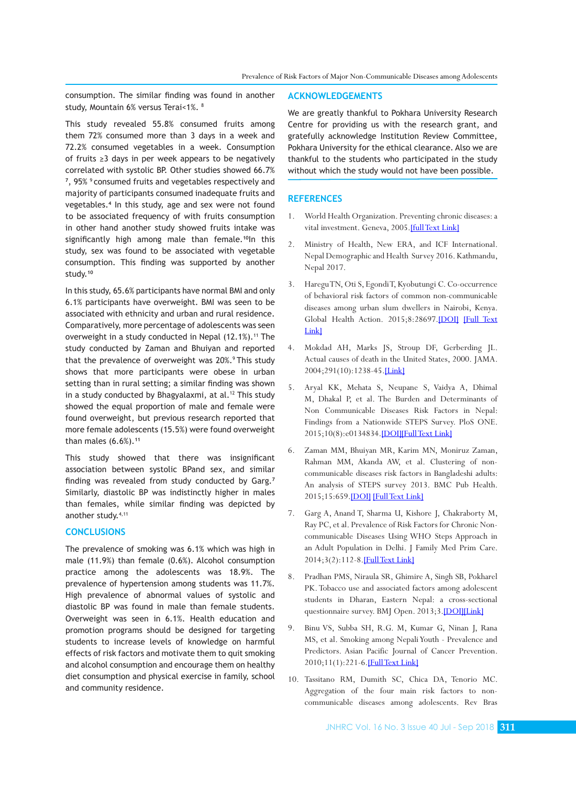consumption. The similar finding was found in another study, Mountain 6% versus Terai<1%. 8

This study revealed 55.8% consumed fruits among them 72% consumed more than 3 days in a week and 72.2% consumed vegetables in a week. Consumption of fruits ≥3 days in per week appears to be negatively correlated with systolic BP. Other studies showed 66.7% **<sup>7</sup>**, 95% 9 consumed fruits and vegetables respectively and majority of participants consumed inadequate fruits and vegetables.**<sup>4</sup>** In this study, age and sex were not found to be associated frequency of with fruits consumption in other hand another study showed fruits intake was significantly high among male than female.**<sup>10</sup>**In this study, sex was found to be associated with vegetable consumption. This finding was supported by another study.**<sup>10</sup>**

In this study, 65.6% participants have normal BMI and only 6.1% participants have overweight. BMI was seen to be associated with ethnicity and urban and rural residence. Comparatively, more percentage of adolescents was seen overweight in a study conducted in Nepal (12.1%).<sup>11</sup> The study conducted by Zaman and Bhuiyan and reported that the prevalence of overweight was 20%.<sup>9</sup> This study shows that more participants were obese in urban setting than in rural setting; a similar finding was shown in a study conducted by Bhagyalaxmi, at al.<sup>12</sup> This study showed the equal proportion of male and female were found overweight, but previous research reported that more female adolescents (15.5%) were found overweight than males (6.6%).**<sup>11</sup>**

This study showed that there was insignificant association between systolic BPand sex, and similar finding was revealed from study conducted by Garg.**<sup>7</sup>** Similarly, diastolic BP was indistinctly higher in males than females, while similar finding was depicted by another study.<sup>4,11</sup>

## **CONCLUSIONS**

The prevalence of smoking was 6.1% which was high in male (11.9%) than female (0.6%). Alcohol consumption practice among the adolescents was 18.9%. The prevalence of hypertension among students was 11.7%. High prevalence of abnormal values of systolic and diastolic BP was found in male than female students. Overweight was seen in 6.1%. Health education and promotion programs should be designed for targeting students to increase levels of knowledge on harmful effects of risk factors and motivate them to quit smoking and alcohol consumption and encourage them on healthy diet consumption and physical exercise in family, school and community residence.

#### **ACKNOWLEDGEMENTS**

We are greatly thankful to Pokhara University Research Centre for providing us with the research grant, and gratefully acknowledge Institution Review Committee, Pokhara University for the ethical clearance. Also we are thankful to the students who participated in the study without which the study would not have been possible.

## **REFERENCES**

- 1. World Health Organization. Preventing chronic diseases: a vital investment. Geneva, 2005.[full Text Link]
- 2. Ministry of Health, New ERA, and ICF International. Nepal Demographic and Health Survey 2016. Kathmandu, Nepal 2017.
- 3. Haregu TN, Oti S, Egondi T, Kyobutungi C. Co-occurrence of behavioral risk factors of common non-communicable diseases among urban slum dwellers in Nairobi, Kenya. Global Health Action. 2015;8:28697.[\[DOI\]](https://doi.org/10.3402/gha.v8.28697) [\[Full Text](https://www.tandfonline.com/doi/abs/10.3402/gha.v8.28697)  [Link\]](https://www.tandfonline.com/doi/abs/10.3402/gha.v8.28697)
- 4. Mokdad AH, Marks JS, Stroup DF, Gerberding JL. Actual causes of death in the United States, 2000. JAMA. 2004;291(10):1238-45.[\[Link\]](https://jamanetwork.com/journals/jama/article-abstract/198357)
- 5. Aryal KK, Mehata S, Neupane S, Vaidya A, Dhimal M, Dhakal P, et al. The Burden and Determinants of Non Communicable Diseases Risk Factors in Nepal: Findings from a Nationwide STEPS Survey. PloS ONE. 2015;10(8):e0134834[.\[DOI\]](https://doi.org/10.1371/journal.pone.0134834)[\[Full Text Link\]](http://journals.plos.org/plosone/article?id=10.1371/journal.pone.0134834)
- 6. Zaman MM, Bhuiyan MR, Karim MN, Moniruz Zaman, Rahman MM, Akanda AW, et al. Clustering of noncommunicable diseases risk factors in Bangladeshi adults: An analysis of STEPS survey 2013. BMC Pub Health. 2015;15:659.[\[DOI\]](https://doi.org/10.1186/s12889-015-1938-4) [\[Full Text Link\]](https://bmcpublichealth.biomedcentral.com/articles/10.1186/s12889-015-1938-4)
- 7. Garg A, Anand T, Sharma U, Kishore J, Chakraborty M, Ray PC, et al. Prevalence of Risk Factors for Chronic Noncommunicable Diseases Using WHO Steps Approach in an Adult Population in Delhi. J Family Med Prim Care. 2014;3(2):112-8.[\[Full Text Link\]](https://www.ncbi.nlm.nih.gov/pmc/articles/PMC4139989/)
- 8. Pradhan PMS, Niraula SR, Ghimire A, Singh SB, Pokharel PK. Tobacco use and associated factors among adolescent students in Dharan, Eastern Nepal: a cross-sectional questionnaire survey. BMJ Open. 2013;3[.\[DOI\]](http://dx.doi.org/10.1136/bmjopen-2012-002123)[\[Link\]](https://bmjopen.bmj.com/content/3/2/e002123.short)
- 9. Binu VS, Subba SH, R.G. M, Kumar G, Ninan J, Rana MS, et al. Smoking among Nepali Youth - Prevalence and Predictors. Asian Pacific Journal of Cancer Prevention. 2010;11(1):221-6[.\[Full Text Link\]](http://journal.waocp.org/article_25148_0a65061176ac85377b834555b6c37155.pdf)
- 10. Tassitano RM, Dumith SC, Chica DA, Tenorio MC. Aggregation of the four main risk factors to noncommunicable diseases among adolescents. Rev Bras